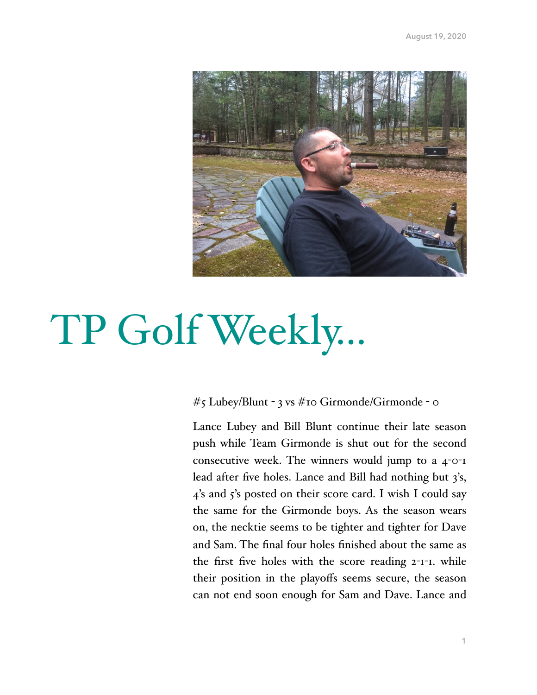

# TP Golf Weekly…

## #5 Lubey/Blunt - 3 vs #10 Girmonde/Girmonde - 0

Lance Lubey and Bill Blunt continue their late season push while Team Girmonde is shut out for the second consecutive week. The winners would jump to a 4-0-1 lead after five holes. Lance and Bill had nothing but 3's, 4's and 5's posted on their score card. I wish I could say the same for the Girmonde boys. As the season wears on, the necktie seems to be tighter and tighter for Dave and Sam. The final four holes finished about the same as the first five holes with the score reading 2-1-1. while their position in the playoffs seems secure, the season can not end soon enough for Sam and Dave. Lance and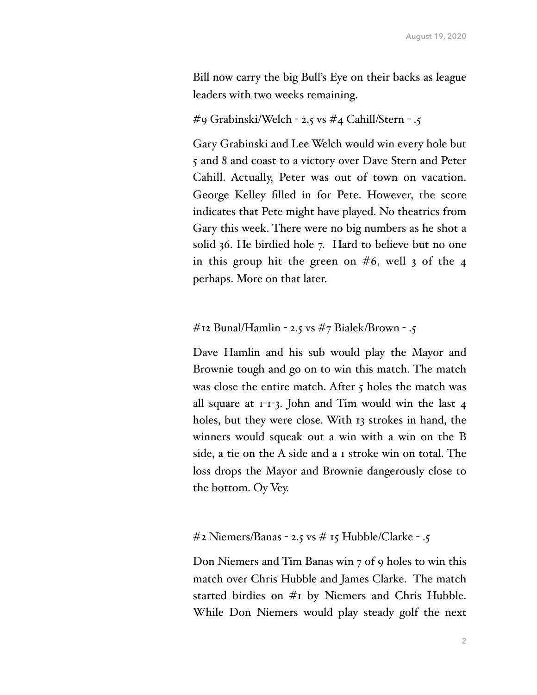Bill now carry the big Bull's Eye on their backs as league leaders with two weeks remaining.

#9 Grabinski/Welch - 2.5 vs #4 Cahill/Stern - .5

Gary Grabinski and Lee Welch would win every hole but 5 and 8 and coast to a victory over Dave Stern and Peter Cahill. Actually, Peter was out of town on vacation. George Kelley filled in for Pete. However, the score indicates that Pete might have played. No theatrics from Gary this week. There were no big numbers as he shot a solid 36. He birdied hole 7. Hard to believe but no one in this group hit the green on  $#6$ , well 3 of the 4 perhaps. More on that later.

## $\#$ 12 Bunal/Hamlin - 2.5 vs  $\#$ 7 Bialek/Brown - .5

Dave Hamlin and his sub would play the Mayor and Brownie tough and go on to win this match. The match was close the entire match. After  $\zeta$  holes the match was all square at 1-1-3. John and Tim would win the last 4 holes, but they were close. With 13 strokes in hand, the winners would squeak out a win with a win on the B side, a tie on the A side and a 1 stroke win on total. The loss drops the Mayor and Brownie dangerously close to the bottom. Oy Vey.

## $\#$ 2 Niemers/Banas - 2.5 vs  $\#$  15 Hubble/Clarke - .5

Don Niemers and Tim Banas win 7 of 9 holes to win this match over Chris Hubble and James Clarke. The match started birdies on #1 by Niemers and Chris Hubble. While Don Niemers would play steady golf the next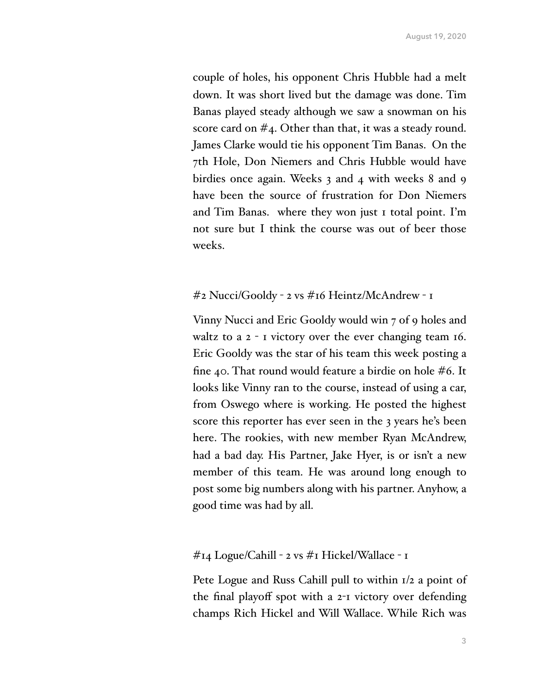couple of holes, his opponent Chris Hubble had a melt down. It was short lived but the damage was done. Tim Banas played steady although we saw a snowman on his score card on #4. Other than that, it was a steady round. James Clarke would tie his opponent Tim Banas. On the 7th Hole, Don Niemers and Chris Hubble would have birdies once again. Weeks 3 and 4 with weeks 8 and 9 have been the source of frustration for Don Niemers and Tim Banas. where they won just 1 total point. I'm not sure but I think the course was out of beer those weeks.

## #2 Nucci/Gooldy - 2 vs #16 Heintz/McAndrew - 1

Vinny Nucci and Eric Gooldy would win 7 of 9 holes and waltz to a 2 - 1 victory over the ever changing team 16. Eric Gooldy was the star of his team this week posting a fine 40. That round would feature a birdie on hole #6. It looks like Vinny ran to the course, instead of using a car, from Oswego where is working. He posted the highest score this reporter has ever seen in the 3 years he's been here. The rookies, with new member Ryan McAndrew, had a bad day. His Partner, Jake Hyer, is or isn't a new member of this team. He was around long enough to post some big numbers along with his partner. Anyhow, a good time was had by all.

## #14 Logue/Cahill - 2 vs #1 Hickel/Wallace - 1

Pete Logue and Russ Cahill pull to within 1/2 a point of the final playoff spot with a 2-1 victory over defending champs Rich Hickel and Will Wallace. While Rich was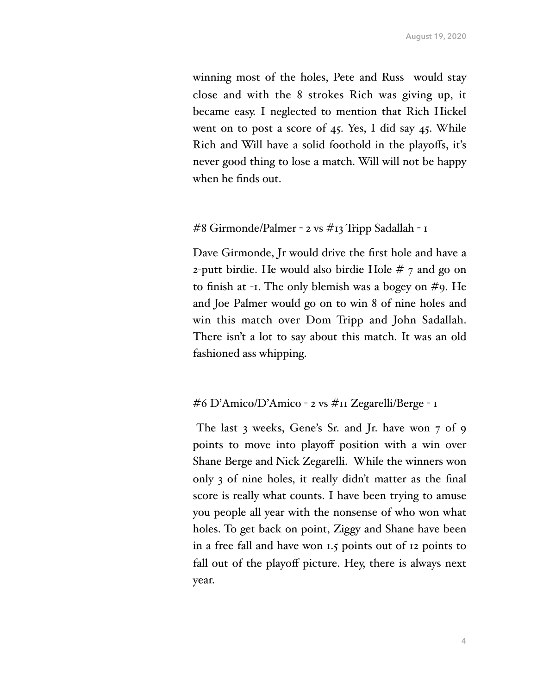winning most of the holes, Pete and Russ would stay close and with the 8 strokes Rich was giving up, it became easy. I neglected to mention that Rich Hickel went on to post a score of 45. Yes, I did say 45. While Rich and Will have a solid foothold in the playoffs, it's never good thing to lose a match. Will will not be happy when he finds out.

#### #8 Girmonde/Palmer - 2 vs #13 Tripp Sadallah - 1

Dave Girmonde, Jr would drive the first hole and have a 2-putt birdie. He would also birdie Hole # 7 and go on to finish at -1. The only blemish was a bogey on #9. He and Joe Palmer would go on to win 8 of nine holes and win this match over Dom Tripp and John Sadallah. There isn't a lot to say about this match. It was an old fashioned ass whipping.

## #6 D'Amico/D'Amico - 2 vs #11 Zegarelli/Berge - 1

 The last 3 weeks, Gene's Sr. and Jr. have won 7 of 9 points to move into playoff position with a win over Shane Berge and Nick Zegarelli. While the winners won only 3 of nine holes, it really didn't matter as the final score is really what counts. I have been trying to amuse you people all year with the nonsense of who won what holes. To get back on point, Ziggy and Shane have been in a free fall and have won 1.5 points out of 12 points to fall out of the playoff picture. Hey, there is always next year.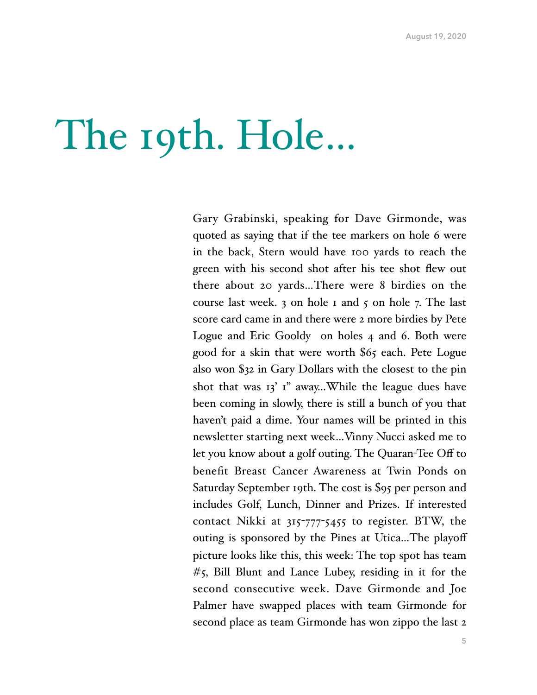## The 19th. Hole…

Gary Grabinski, speaking for Dave Girmonde, was quoted as saying that if the tee markers on hole 6 were in the back, Stern would have 100 yards to reach the green with his second shot after his tee shot flew out there about 20 yards…There were 8 birdies on the course last week. 3 on hole 1 and 5 on hole 7. The last score card came in and there were 2 more birdies by Pete Logue and Eric Gooldy on holes 4 and 6. Both were good for a skin that were worth \$65 each. Pete Logue also won \$32 in Gary Dollars with the closest to the pin shot that was  $13'$  i" away...While the league dues have been coming in slowly, there is still a bunch of you that haven't paid a dime. Your names will be printed in this newsletter starting next week…Vinny Nucci asked me to let you know about a golf outing. The Quaran-Tee Off to benefit Breast Cancer Awareness at Twin Ponds on Saturday September 19th. The cost is \$95 per person and includes Golf, Lunch, Dinner and Prizes. If interested contact Nikki at 315-777-5455 to register. BTW, the outing is sponsored by the Pines at Utica…The playoff picture looks like this, this week: The top spot has team #5, Bill Blunt and Lance Lubey, residing in it for the second consecutive week. Dave Girmonde and Joe Palmer have swapped places with team Girmonde for second place as team Girmonde has won zippo the last 2